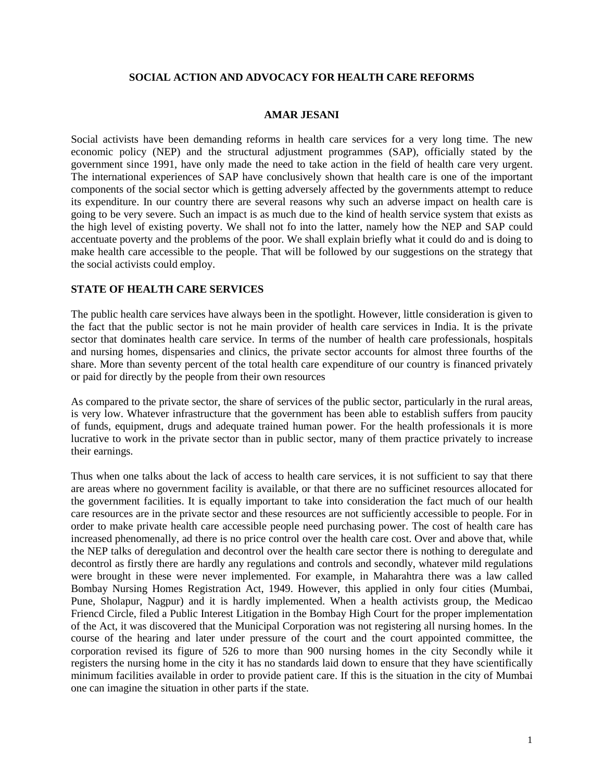### **SOCIAL ACTION AND ADVOCACY FOR HEALTH CARE REFORMS**

### **AMAR JESANI**

Social activists have been demanding reforms in health care services for a very long time. The new economic policy (NEP) and the structural adjustment programmes (SAP), officially stated by the government since 1991, have only made the need to take action in the field of health care very urgent. The international experiences of SAP have conclusively shown that health care is one of the important components of the social sector which is getting adversely affected by the governments attempt to reduce its expenditure. In our country there are several reasons why such an adverse impact on health care is going to be very severe. Such an impact is as much due to the kind of health service system that exists as the high level of existing poverty. We shall not fo into the latter, namely how the NEP and SAP could accentuate poverty and the problems of the poor. We shall explain briefly what it could do and is doing to make health care accessible to the people. That will be followed by our suggestions on the strategy that the social activists could employ.

### **STATE OF HEALTH CARE SERVICES**

The public health care services have always been in the spotlight. However, little consideration is given to the fact that the public sector is not he main provider of health care services in India. It is the private sector that dominates health care service. In terms of the number of health care professionals, hospitals and nursing homes, dispensaries and clinics, the private sector accounts for almost three fourths of the share. More than seventy percent of the total health care expenditure of our country is financed privately or paid for directly by the people from their own resources

As compared to the private sector, the share of services of the public sector, particularly in the rural areas, is very low. Whatever infrastructure that the government has been able to establish suffers from paucity of funds, equipment, drugs and adequate trained human power. For the health professionals it is more lucrative to work in the private sector than in public sector, many of them practice privately to increase their earnings.

Thus when one talks about the lack of access to health care services, it is not sufficient to say that there are areas where no government facility is available, or that there are no sufficinet resources allocated for the government facilities. It is equally important to take into consideration the fact much of our health care resources are in the private sector and these resources are not sufficiently accessible to people. For in order to make private health care accessible people need purchasing power. The cost of health care has increased phenomenally, ad there is no price control over the health care cost. Over and above that, while the NEP talks of deregulation and decontrol over the health care sector there is nothing to deregulate and decontrol as firstly there are hardly any regulations and controls and secondly, whatever mild regulations were brought in these were never implemented. For example, in Maharahtra there was a law called Bombay Nursing Homes Registration Act, 1949. However, this applied in only four cities (Mumbai, Pune, Sholapur, Nagpur) and it is hardly implemented. When a health activists group, the Medicao Friencd Circle, filed a Public Interest Litigation in the Bombay High Court for the proper implementation of the Act, it was discovered that the Municipal Corporation was not registering all nursing homes. In the course of the hearing and later under pressure of the court and the court appointed committee, the corporation revised its figure of 526 to more than 900 nursing homes in the city Secondly while it registers the nursing home in the city it has no standards laid down to ensure that they have scientifically minimum facilities available in order to provide patient care. If this is the situation in the city of Mumbai one can imagine the situation in other parts if the state.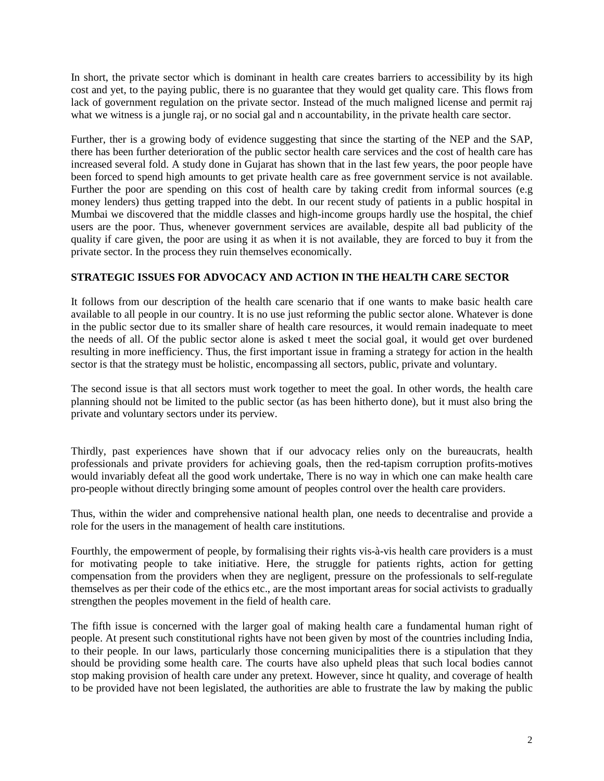In short, the private sector which is dominant in health care creates barriers to accessibility by its high cost and yet, to the paying public, there is no guarantee that they would get quality care. This flows from lack of government regulation on the private sector. Instead of the much maligned license and permit raj what we witness is a jungle raj, or no social gal and n accountability, in the private health care sector.

Further, ther is a growing body of evidence suggesting that since the starting of the NEP and the SAP, there has been further deterioration of the public sector health care services and the cost of health care has increased several fold. A study done in Gujarat has shown that in the last few years, the poor people have been forced to spend high amounts to get private health care as free government service is not available. Further the poor are spending on this cost of health care by taking credit from informal sources (e.g. money lenders) thus getting trapped into the debt. In our recent study of patients in a public hospital in Mumbai we discovered that the middle classes and high-income groups hardly use the hospital, the chief users are the poor. Thus, whenever government services are available, despite all bad publicity of the quality if care given, the poor are using it as when it is not available, they are forced to buy it from the private sector. In the process they ruin themselves economically.

## **STRATEGIC ISSUES FOR ADVOCACY AND ACTION IN THE HEALTH CARE SECTOR**

It follows from our description of the health care scenario that if one wants to make basic health care available to all people in our country. It is no use just reforming the public sector alone. Whatever is done in the public sector due to its smaller share of health care resources, it would remain inadequate to meet the needs of all. Of the public sector alone is asked t meet the social goal, it would get over burdened resulting in more inefficiency. Thus, the first important issue in framing a strategy for action in the health sector is that the strategy must be holistic, encompassing all sectors, public, private and voluntary.

The second issue is that all sectors must work together to meet the goal. In other words, the health care planning should not be limited to the public sector (as has been hitherto done), but it must also bring the private and voluntary sectors under its perview.

Thirdly, past experiences have shown that if our advocacy relies only on the bureaucrats, health professionals and private providers for achieving goals, then the red-tapism corruption profits-motives would invariably defeat all the good work undertake, There is no way in which one can make health care pro-people without directly bringing some amount of peoples control over the health care providers.

Thus, within the wider and comprehensive national health plan, one needs to decentralise and provide a role for the users in the management of health care institutions.

Fourthly, the empowerment of people, by formalising their rights vis-à-vis health care providers is a must for motivating people to take initiative. Here, the struggle for patients rights, action for getting compensation from the providers when they are negligent, pressure on the professionals to self-regulate themselves as per their code of the ethics etc., are the most important areas for social activists to gradually strengthen the peoples movement in the field of health care.

The fifth issue is concerned with the larger goal of making health care a fundamental human right of people. At present such constitutional rights have not been given by most of the countries including India, to their people. In our laws, particularly those concerning municipalities there is a stipulation that they should be providing some health care. The courts have also upheld pleas that such local bodies cannot stop making provision of health care under any pretext. However, since ht quality, and coverage of health to be provided have not been legislated, the authorities are able to frustrate the law by making the public